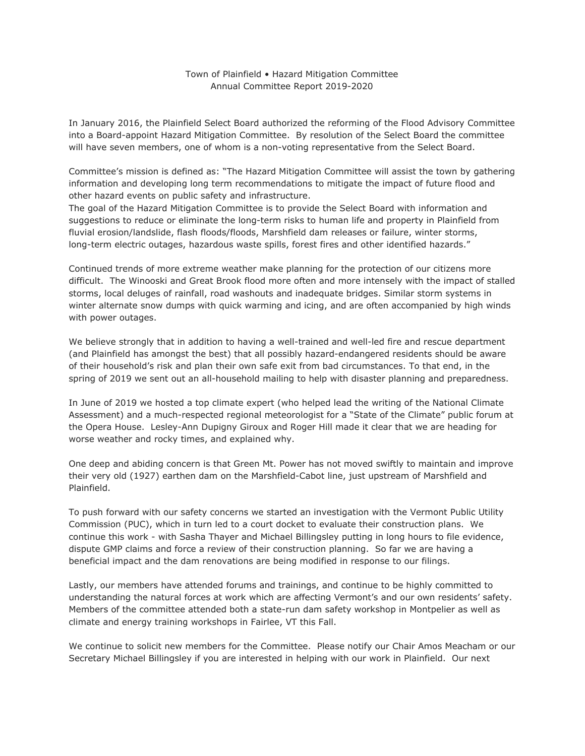## Town of Plainfield • Hazard Mitigation Committee Annual Committee Report 2019-2020

In January 2016, the Plainfield Select Board authorized the reforming of the Flood Advisory Committee into a Board-appoint Hazard Mitigation Committee. By resolution of the Select Board the committee will have seven members, one of whom is a non-voting representative from the Select Board.

Committee's mission is defined as: "The Hazard Mitigation Committee will assist the town by gathering information and developing long term recommendations to mitigate the impact of future flood and other hazard events on public safety and infrastructure.

The goal of the Hazard Mitigation Committee is to provide the Select Board with information and suggestions to reduce or eliminate the long-term risks to human life and property in Plainfield from fluvial erosion/landslide, flash floods/floods, Marshfield dam releases or failure, winter storms, long-term electric outages, hazardous waste spills, forest fires and other identified hazards."

Continued trends of more extreme weather make planning for the protection of our citizens more difficult. The Winooski and Great Brook flood more often and more intensely with the impact of stalled storms, local deluges of rainfall, road washouts and inadequate bridges. Similar storm systems in winter alternate snow dumps with quick warming and icing, and are often accompanied by high winds with power outages.

We believe strongly that in addition to having a well-trained and well-led fire and rescue department (and Plainfield has amongst the best) that all possibly hazard-endangered residents should be aware of their household's risk and plan their own safe exit from bad circumstances. To that end, in the spring of 2019 we sent out an all-household mailing to help with disaster planning and preparedness.

In June of 2019 we hosted a top climate expert (who helped lead the writing of the National Climate Assessment) and a much-respected regional meteorologist for a "State of the Climate" public forum at the Opera House. Lesley-Ann Dupigny Giroux and Roger Hill made it clear that we are heading for worse weather and rocky times, and explained why.

One deep and abiding concern is that Green Mt. Power has not moved swiftly to maintain and improve their very old (1927) earthen dam on the Marshfield-Cabot line, just upstream of Marshfield and Plainfield.

To push forward with our safety concerns we started an investigation with the Vermont Public Utility Commission (PUC), which in turn led to a court docket to evaluate their construction plans. We continue this work - with Sasha Thayer and Michael Billingsley putting in long hours to file evidence, dispute GMP claims and force a review of their construction planning. So far we are having a beneficial impact and the dam renovations are being modified in response to our filings.

Lastly, our members have attended forums and trainings, and continue to be highly committed to understanding the natural forces at work which are affecting Vermont's and our own residents' safety. Members of the committee attended both a state-run dam safety workshop in Montpelier as well as climate and energy training workshops in Fairlee, VT this Fall.

We continue to solicit new members for the Committee. Please notify our Chair Amos Meacham or our Secretary Michael Billingsley if you are interested in helping with our work in Plainfield. Our next